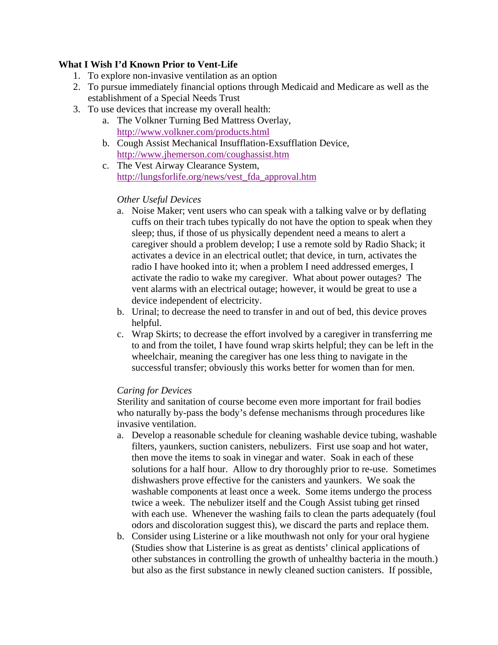## **What I Wish I'd Known Prior to Vent-Life**

- 1. To explore non-invasive ventilation as an option
- 2. To pursue immediately financial options through Medicaid and Medicare as well as the establishment of a Special Needs Trust
- 3. To use devices that increase my overall health:
	- a. The Volkner Turning Bed Mattress Overlay, <http://www.volkner.com/products.html>
	- b. Cough Assist Mechanical Insufflation-Exsufflation Device, <http://www.jhemerson.com/coughassist.htm>
	- c. The Vest Airway Clearance System, [http://lungsforlife.org/news/vest\\_fda\\_approval.htm](http://lungsforlife.org/news/vest_fda_approval.htm)

# *Other Useful Devices*

- a. Noise Maker; vent users who can speak with a talking valve or by deflating cuffs on their trach tubes typically do not have the option to speak when they sleep; thus, if those of us physically dependent need a means to alert a caregiver should a problem develop; I use a remote sold by Radio Shack; it activates a device in an electrical outlet; that device, in turn, activates the radio I have hooked into it; when a problem I need addressed emerges, I activate the radio to wake my caregiver. What about power outages? The vent alarms with an electrical outage; however, it would be great to use a device independent of electricity.
- b. Urinal; to decrease the need to transfer in and out of bed, this device proves helpful.
- c. Wrap Skirts; to decrease the effort involved by a caregiver in transferring me to and from the toilet, I have found wrap skirts helpful; they can be left in the wheelchair, meaning the caregiver has one less thing to navigate in the successful transfer; obviously this works better for women than for men.

### *Caring for Devices*

Sterility and sanitation of course become even more important for frail bodies who naturally by-pass the body's defense mechanisms through procedures like invasive ventilation.

- a. Develop a reasonable schedule for cleaning washable device tubing, washable filters, yaunkers, suction canisters, nebulizers. First use soap and hot water, then move the items to soak in vinegar and water. Soak in each of these solutions for a half hour. Allow to dry thoroughly prior to re-use. Sometimes dishwashers prove effective for the canisters and yaunkers. We soak the washable components at least once a week. Some items undergo the process twice a week. The nebulizer itself and the Cough Assist tubing get rinsed with each use. Whenever the washing fails to clean the parts adequately (foul odors and discoloration suggest this), we discard the parts and replace them.
- b. Consider using Listerine or a like mouthwash not only for your oral hygiene (Studies show that Listerine is as great as dentists' clinical applications of other substances in controlling the growth of unhealthy bacteria in the mouth.) but also as the first substance in newly cleaned suction canisters. If possible,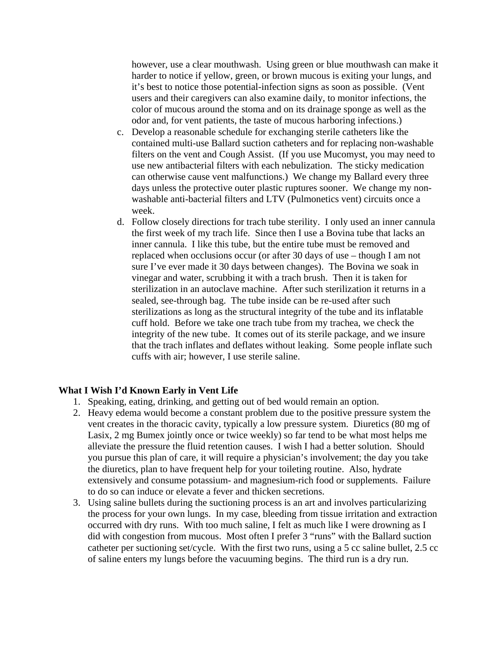however, use a clear mouthwash. Using green or blue mouthwash can make it harder to notice if yellow, green, or brown mucous is exiting your lungs, and it's best to notice those potential-infection signs as soon as possible. (Vent users and their caregivers can also examine daily, to monitor infections, the color of mucous around the stoma and on its drainage sponge as well as the odor and, for vent patients, the taste of mucous harboring infections.)

- c. Develop a reasonable schedule for exchanging sterile catheters like the contained multi-use Ballard suction catheters and for replacing non-washable filters on the vent and Cough Assist. (If you use Mucomyst, you may need to use new antibacterial filters with each nebulization. The sticky medication can otherwise cause vent malfunctions.) We change my Ballard every three days unless the protective outer plastic ruptures sooner. We change my nonwashable anti-bacterial filters and LTV (Pulmonetics vent) circuits once a week.
- d. Follow closely directions for trach tube sterility. I only used an inner cannula the first week of my trach life. Since then I use a Bovina tube that lacks an inner cannula. I like this tube, but the entire tube must be removed and replaced when occlusions occur (or after 30 days of use – though I am not sure I've ever made it 30 days between changes). The Bovina we soak in vinegar and water, scrubbing it with a trach brush. Then it is taken for sterilization in an autoclave machine. After such sterilization it returns in a sealed, see-through bag. The tube inside can be re-used after such sterilizations as long as the structural integrity of the tube and its inflatable cuff hold. Before we take one trach tube from my trachea, we check the integrity of the new tube. It comes out of its sterile package, and we insure that the trach inflates and deflates without leaking. Some people inflate such cuffs with air; however, I use sterile saline.

#### **What I Wish I'd Known Early in Vent Life**

- 1. Speaking, eating, drinking, and getting out of bed would remain an option.
- 2. Heavy edema would become a constant problem due to the positive pressure system the vent creates in the thoracic cavity, typically a low pressure system. Diuretics (80 mg of Lasix, 2 mg Bumex jointly once or twice weekly) so far tend to be what most helps me alleviate the pressure the fluid retention causes. I wish I had a better solution. Should you pursue this plan of care, it will require a physician's involvement; the day you take the diuretics, plan to have frequent help for your toileting routine. Also, hydrate extensively and consume potassium- and magnesium-rich food or supplements. Failure to do so can induce or elevate a fever and thicken secretions.
- 3. Using saline bullets during the suctioning process is an art and involves particularizing the process for your own lungs. In my case, bleeding from tissue irritation and extraction occurred with dry runs. With too much saline, I felt as much like I were drowning as I did with congestion from mucous. Most often I prefer 3 "runs" with the Ballard suction catheter per suctioning set/cycle. With the first two runs, using a 5 cc saline bullet, 2.5 cc of saline enters my lungs before the vacuuming begins. The third run is a dry run.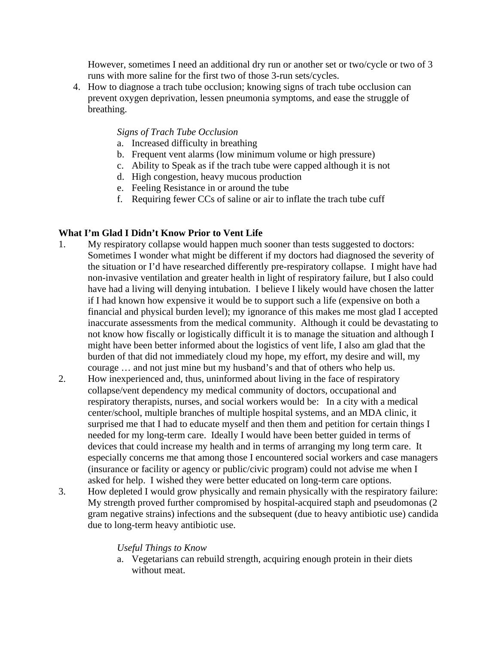However, sometimes I need an additional dry run or another set or two/cycle or two of 3 runs with more saline for the first two of those 3-run sets/cycles.

4. How to diagnose a trach tube occlusion; knowing signs of trach tube occlusion can prevent oxygen deprivation, lessen pneumonia symptoms, and ease the struggle of breathing.

## *Signs of Trach Tube Occlusion*

- a. Increased difficulty in breathing
- b. Frequent vent alarms (low minimum volume or high pressure)
- c. Ability to Speak as if the trach tube were capped although it is not
- d. High congestion, heavy mucous production
- e. Feeling Resistance in or around the tube
- f. Requiring fewer CCs of saline or air to inflate the trach tube cuff

## **What I'm Glad I Didn't Know Prior to Vent Life**

- 1. My respiratory collapse would happen much sooner than tests suggested to doctors: Sometimes I wonder what might be different if my doctors had diagnosed the severity of the situation or I'd have researched differently pre-respiratory collapse. I might have had non-invasive ventilation and greater health in light of respiratory failure, but I also could have had a living will denying intubation. I believe I likely would have chosen the latter if I had known how expensive it would be to support such a life (expensive on both a financial and physical burden level); my ignorance of this makes me most glad I accepted inaccurate assessments from the medical community. Although it could be devastating to not know how fiscally or logistically difficult it is to manage the situation and although I might have been better informed about the logistics of vent life, I also am glad that the burden of that did not immediately cloud my hope, my effort, my desire and will, my courage … and not just mine but my husband's and that of others who help us.
- 2. How inexperienced and, thus, uninformed about living in the face of respiratory collapse/vent dependency my medical community of doctors, occupational and respiratory therapists, nurses, and social workers would be: In a city with a medical center/school, multiple branches of multiple hospital systems, and an MDA clinic, it surprised me that I had to educate myself and then them and petition for certain things I needed for my long-term care. Ideally I would have been better guided in terms of devices that could increase my health and in terms of arranging my long term care. It especially concerns me that among those I encountered social workers and case managers (insurance or facility or agency or public/civic program) could not advise me when I asked for help. I wished they were better educated on long-term care options.
- 3. How depleted I would grow physically and remain physically with the respiratory failure: My strength proved further compromised by hospital-acquired staph and pseudomonas (2 gram negative strains) infections and the subsequent (due to heavy antibiotic use) candida due to long-term heavy antibiotic use.

### *Useful Things to Know*

a. Vegetarians can rebuild strength, acquiring enough protein in their diets without meat.